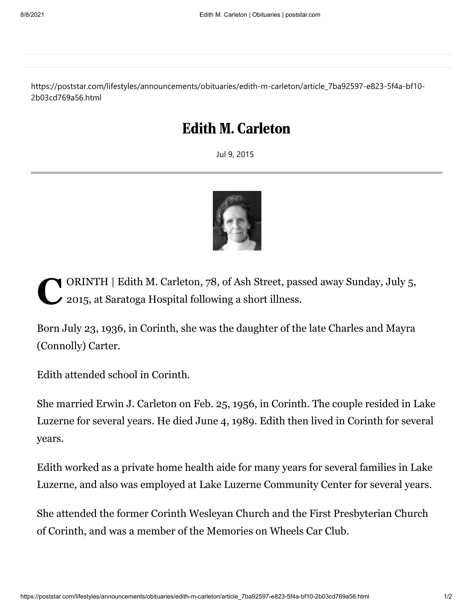https://poststar.com/lifestyles/announcements/obituaries/edith-m-carleton/article\_7ba92597-e823-5f4a-bf10- 2b03cd769a56.html

## Edith M. Carleton

Jul 9, 2015



ORINTH | Edith M. Carleton, 78, of Ash Street, passed away Sunday, July 5, 2015, at Saratoga Hospital following a short illness. 2015, at Saratoga Hospital following a short illness.

Born July 23, 1936, in Corinth, she was the daughter of the late Charles and Mayra (Connolly) Carter.

Edith attended school in Corinth.

She married Erwin J. Carleton on Feb. 25, 1956, in Corinth. The couple resided in Lake Luzerne for several years. He died June 4, 1989. Edith then lived in Corinth for several years.

Edith worked as a private home health aide for many years for several families in Lake Luzerne, and also was employed at Lake Luzerne Community Center for several years.

She attended the former Corinth Wesleyan Church and the First Presbyterian Church of Corinth, and was a member of the Memories on Wheels Car Club.